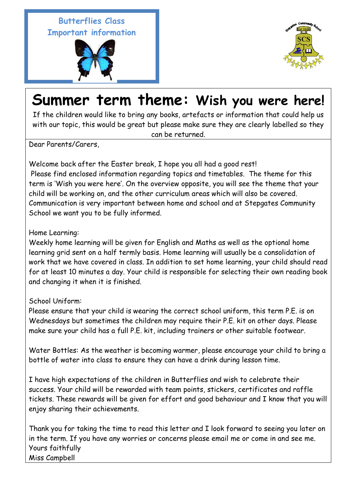## **Butterflies Class Important information**





## **Summer term theme: Wish you were here!**

If the children would like to bring any books, artefacts or information that could help us with our topic, this would be great but please make sure they are clearly labelled so they can be returned.

Dear Parents/Carers,

Welcome back after the Easter break, I hope you all had a good rest! Please find enclosed information regarding topics and timetables. The theme for this term is 'Wish you were here'. On the overview opposite, you will see the theme that your child will be working on, and the other curriculum areas which will also be covered. Communication is very important between home and school and at Stepgates Community School we want you to be fully informed.

Home Learning:

Weekly home learning will be given for English and Maths as well as the optional home learning grid sent on a half termly basis. Home learning will usually be a consolidation of work that we have covered in class. In addition to set home learning, your child should read for at least 10 minutes a day. Your child is responsible for selecting their own reading book and changing it when it is finished.

## School Uniform:

Please ensure that your child is wearing the correct school uniform, this term P.E. is on Wednesdays but sometimes the children may require their P.E. kit on other days. Please make sure your child has a full P.E. kit, including trainers or other suitable footwear.

Water Bottles: As the weather is becoming warmer, please encourage your child to bring a bottle of water into class to ensure they can have a drink during lesson time.

I have high expectations of the children in Butterflies and wish to celebrate their success. Your child will be rewarded with team points, stickers, certificates and raffle tickets. These rewards will be given for effort and good behaviour and I know that you will enjoy sharing their achievements.

Thank you for taking the time to read this letter and I look forward to seeing you later on in the term. If you have any worries or concerns please email me or come in and see me. Yours faithfully Miss Campbell